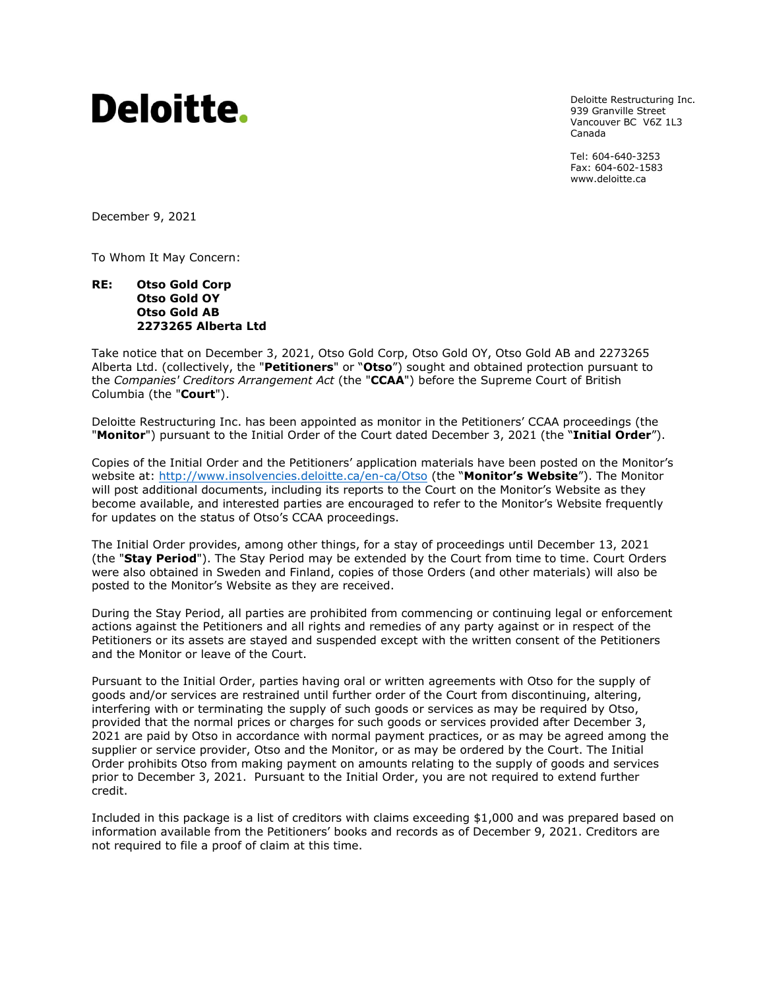# Deloitte.

Deloitte Restructuring Inc. 939 Granville Street Vancouver BC V6Z 1L3 Canada

Tel: 604-640-3253 Fax: 604-602-1583 www.deloitte.ca

December 9, 2021

To Whom It May Concern:

### **RE: Otso Gold Corp Otso Gold OY Otso Gold AB 2273265 Alberta Ltd**

Take notice that on December 3, 2021, Otso Gold Corp, Otso Gold OY, Otso Gold AB and 2273265 Alberta Ltd. (collectively, the "**Petitioners**" or "**Otso**") sought and obtained protection pursuant to the *Companies' Creditors Arrangement Act* (the "**CCAA**") before the Supreme Court of British Columbia (the "**Court**").

Deloitte Restructuring Inc. has been appointed as monitor in the Petitioners' CCAA proceedings (the "**Monitor**") pursuant to the Initial Order of the Court dated December 3, 2021 (the "**Initial Order**").

Copies of the Initial Order and the Petitioners' application materials have been posted on the Monitor's website at:<http://www.insolvencies.deloitte.ca/en-ca/Otso> (the "**Monitor's Website**"). The Monitor will post additional documents, including its reports to the Court on the Monitor's Website as they become available, and interested parties are encouraged to refer to the Monitor's Website frequently for updates on the status of Otso's CCAA proceedings.

The Initial Order provides, among other things, for a stay of proceedings until December 13, 2021 (the "**Stay Period**"). The Stay Period may be extended by the Court from time to time. Court Orders were also obtained in Sweden and Finland, copies of those Orders (and other materials) will also be posted to the Monitor's Website as they are received.

During the Stay Period, all parties are prohibited from commencing or continuing legal or enforcement actions against the Petitioners and all rights and remedies of any party against or in respect of the Petitioners or its assets are stayed and suspended except with the written consent of the Petitioners and the Monitor or leave of the Court.

Pursuant to the Initial Order, parties having oral or written agreements with Otso for the supply of goods and/or services are restrained until further order of the Court from discontinuing, altering, interfering with or terminating the supply of such goods or services as may be required by Otso, provided that the normal prices or charges for such goods or services provided after December 3, 2021 are paid by Otso in accordance with normal payment practices, or as may be agreed among the supplier or service provider, Otso and the Monitor, or as may be ordered by the Court. The Initial Order prohibits Otso from making payment on amounts relating to the supply of goods and services prior to December 3, 2021. Pursuant to the Initial Order, you are not required to extend further credit.

Included in this package is a list of creditors with claims exceeding \$1,000 and was prepared based on information available from the Petitioners' books and records as of December 9, 2021. Creditors are not required to file a proof of claim at this time.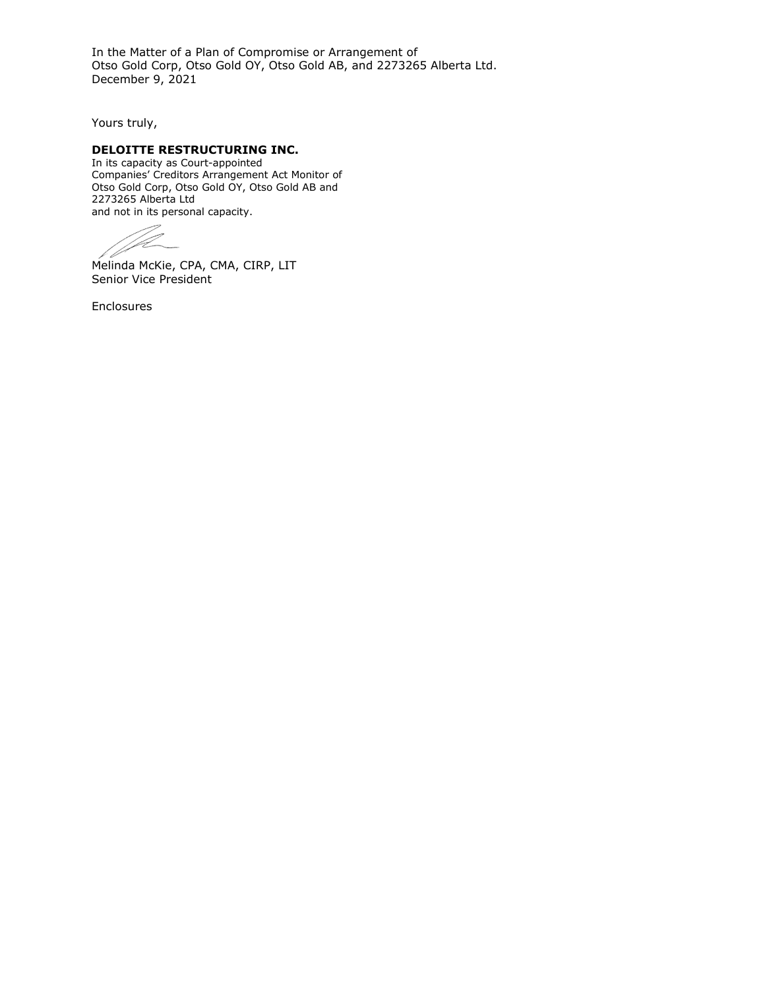In the Matter of a Plan of Compromise or Arrangement of Otso Gold Corp, Otso Gold OY, Otso Gold AB, and 2273265 Alberta Ltd. December 9, 2021

Yours truly,

## **DELOITTE RESTRUCTURING INC.**

In its capacity as Court-appointed Companies' Creditors Arrangement Act Monitor of Otso Gold Corp, Otso Gold OY, Otso Gold AB and 2273265 Alberta Ltd and not in its personal capacity.

1

Melinda McKie, CPA, CMA, CIRP, LIT Senior Vice President

Enclosures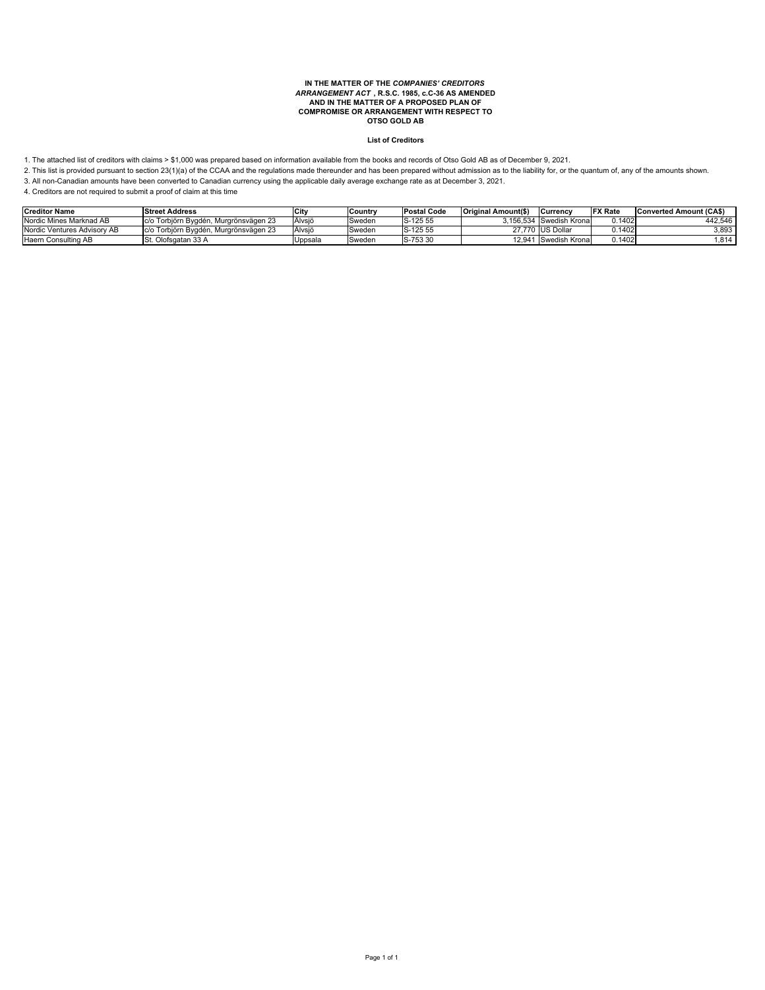# **IN THE MATTER OF THE** *COMPANIES' CREDITORS ARRANGEMENT ACT* **, R.S.C. 1985, c.C-36 AS AMENDED AND IN THE MATTER OF A PROPOSED PLAN OF COMPROMISE OR ARRANGEMENT WITH RESPECT TO OTSO GOLD AB**

#### **List of Creditors**

1. The attached list of creditors with claims > \$1,000 was prepared based on information available from the books and records of Otso Gold AB as of December 9, 2021.

2. This list is provided pursuant to section 23(1)(a) of the CCAA and the regulations made thereunder and has been prepared without admission as to the liability for, or the quantum of, any of the amounts shown.

3. All non-Canadian amounts have been converted to Canadian currency using the applicable daily average exchange rate as at December 3, 2021.

| <b>Creditor Name</b>        | <b>Street Address</b>                  | <b>City</b> | <b>Country</b> | <b>Postal Code</b> | <b>Original Amount(\$)</b> | <b>Currency</b>         | <b>IFX Rate</b> | <b>Converted Amount (CAS)</b> |
|-----------------------------|----------------------------------------|-------------|----------------|--------------------|----------------------------|-------------------------|-----------------|-------------------------------|
| Nordic Mines Marknad AB     | Ic/o Torbiörn Bvadén, Murarönsvägen 23 | Alvsiö      | Sweden         | S-125 55           |                            | 3.156.534 Swedish Krona | 0.1402          | 442.546                       |
| Nordic Ventures Advisory AB | c/o Torbiörn Byadén, Murarönsvägen 23  | Alvsiö      | Sweden         | S-125 55           |                            | 27.770 IUS Dollar       | J.1402.         | 3,893                         |
| Haern Consulting AB         | St. Olofsgatan 33 A                    | Jppsala     | Sweden         | S-753 30           | 12.941                     | Swedish Krona           | 0.1402          | .814                          |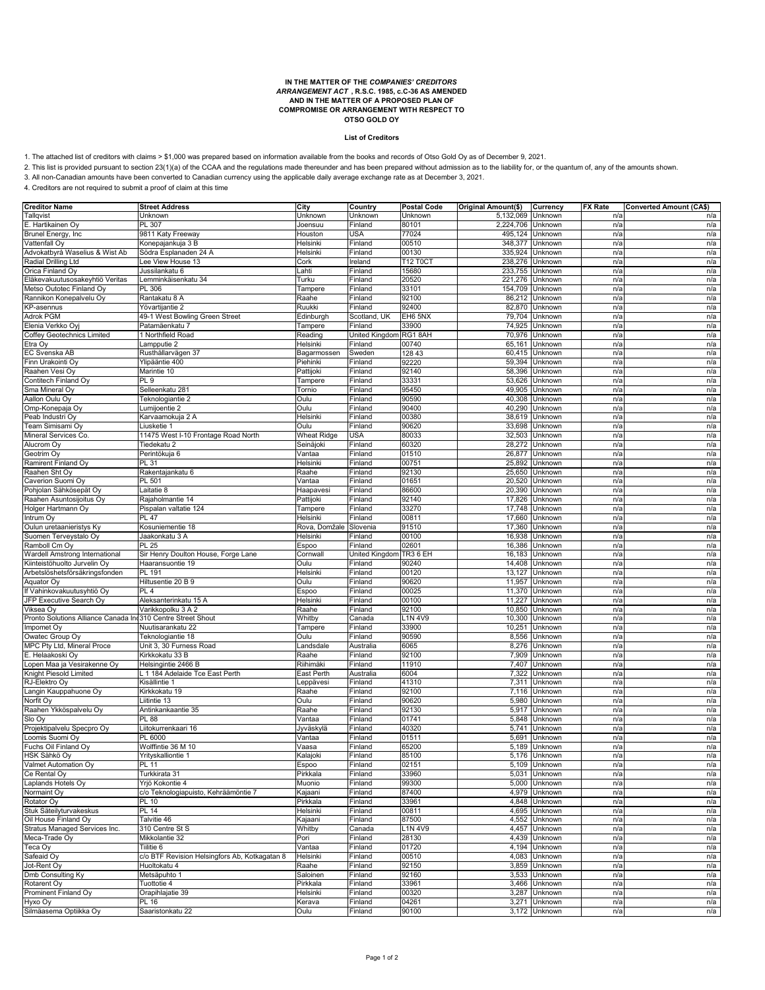# **IN THE MATTER OF THE** *COMPANIES' CREDITORS ARRANGEMENT ACT* **, R.S.C. 1985, c.C-36 AS AMENDED AND IN THE MATTER OF A PROPOSED PLAN OF COMPROMISE OR ARRANGEMENT WITH RESPECT TO OTSO GOLD OY**

#### **List of Creditors**

1. The attached list of creditors with claims > \$1,000 was prepared based on information available from the books and records of Otso Gold Oy as of December 9, 2021.

2. This list is provided pursuant to section 23(1)(a) of the CCAA and the regulations made thereunder and has been prepared without admission as to the liability for, or the quantum of, any of the amounts shown.

3. All non-Canadian amounts have been converted to Canadian currency using the applicable daily average exchange rate as at December 3, 2021.

| <b>Creditor Name</b>                                        | <b>Street Address</b>                         | City                | Country            | <b>Postal Code</b> | Original Amount(\$) | Currency           | <b>FX Rate</b> | Converted Amount (CA\$) |
|-------------------------------------------------------------|-----------------------------------------------|---------------------|--------------------|--------------------|---------------------|--------------------|----------------|-------------------------|
| Tallqvist                                                   | Unknown                                       | Unknown             | Unknown            | Unknown            | 5,132,069           | Unknown            | n/a            | n/a                     |
| E. Hartikainen Oy                                           | PL 307                                        | Joensuu             | Finland            | 80101              | 2,224,706           | Unknown            | n/a            | n/a                     |
| Brunel Energy, Inc.                                         | 9811 Katy Freeway                             | Houston             | USA                | 77024              | 495,124             | Unknown            | n/a            | n/a                     |
| Vattenfall Oy                                               | Konepajankuja 3 B                             | Helsinki            | Finland            | 00510              | 348,377             | Unknown            | n/a            | n/a                     |
| Advokatbyrå Waselius & Wist Ab                              | Södra Esplanaden 24 A                         | Helsinki            | Finland            | 00130              | 335,924             | Unknown            | n/a            | n/a                     |
| Radial Drilling Ltd                                         | ee View House 13<br>Jussilankatu 6            | Cork                | reland<br>Finland  | T12 T0C<br>15680   | 238,276             | Unknown            | n/a            | n/a                     |
| Orica Finland Oy                                            | emminkäisenkatu 34                            | _ahti<br>Turku      | Finland            | 20520              | 233,755<br>221,276  | Unknown            | n/a            | n/a                     |
| Eläkevakuutusosakeyhtiö Veritas<br>Metso Outotec Finland Oy | PL 306                                        | Tampere             | Finland            | 33101              | 154,709             | Unknown<br>Unknown | n/a<br>n/a     | n/a<br>n/a              |
| Rannikon Konepalvelu Oy                                     | Rantakatu 8 A                                 | Raahe               | Finland            | 92100              | 86,212              | Unknown            | n/a            | n/a                     |
| KP-asennus                                                  | Yövartijantie 2                               | Ruukki              | Finland            | 92400              | 82,870              | Unknown            | n/a            | n/a                     |
| <b>Adrok PGM</b>                                            | 49-1 West Bowling Green Street                | Edinburgh           | Scotland, UK       | EH6 5NX            | 79,704              | Unknown            | n/a            | n/a                     |
| Elenia Verkko Ovi                                           | Patamäenkatu 7                                | Tampere             | Finland            | 33900              | 74,925              | Unknown            | n/a            | n/a                     |
| Coffey Geotechnics Limited                                  | 1 Northfield Road                             | Reading             | United Kingdom     | RG18AH             | 70,976              | Unknown            | n/a            | n/a                     |
| Etra Oy                                                     | ampputie 2.                                   | Helsinki            | Finland            | 00740              | 65,161              | Unknown            | n/a            | n/a                     |
| EC Svenska AB                                               | Rusthållarvägen 37                            | Bagarmossen         | Sweden             | 128 43             | 60,415              | Unknown            | n/a            | n/a                     |
| Finn Urakointi Oy                                           | Ylipääntie 400                                | Piehinki            | Finland            | 92220              | 59,394              | Unknown            | n/a            | n/a                     |
| Raahen Vesi Oy                                              | Marintie 10                                   | Pattijoki           | Finland            | 92140              | 58,396              | Unknown            | n/a            | n/a                     |
| Contitech Finland Oy                                        | PL 9                                          | Tampere             | Finland            | 33331              | 53,626              | Unknown            | n/a            | n/a                     |
| Sma Mineral Oy                                              | Selleenkatu 281                               | Tornio              | Finland            | 95450              | 49,905              | Unknown            | n/a            | n/a                     |
| Aallon Oulu Oy                                              | Feknologiantie 2                              | Oulu                | Finland            | 90590              | 40,308              | Unknown            | n/a            | n/a                     |
| Omp-Konepaja Oy                                             | umijoentie 2                                  | Oulu                | Finland            | 90400              | 40,290              | Unknown            | n/a            | n/a                     |
| Peab Industri Oy                                            | Karvaamokuja 2 A                              | Helsinki            | Finland            | 00380              | 38,619              | Unknown            | n/a            | n/a                     |
| Team Simisami Oy                                            | Liusketie 1                                   | Oulu                | Finland            | 90620              | 33,698              | Unknown            | n/a            | n/a                     |
| Mineral Services Co                                         | 11475 West I-10 Frontage Road North           | <b>Wheat Ridge</b>  | USA                | 80033              | 32,503              | Unknown            | n/a            | n/a                     |
| Alucrom Oy                                                  | Tiedekatu 2                                   | Seinäjoki           | Finland            | 60320              | 28,272              | Unknown            | n/a            | n/a                     |
| Geotrim Oy                                                  | Perintökuja 6                                 | Vantaa              | Finland            | 01510              | 26,877              | Unknown            | n/a            | n/a                     |
| Ramirent Finland Oy                                         | PL 31                                         | Helsinki            | Finland            | 00751              | 25,892              | Unknown            | n/a            | n/a                     |
| Raahen Sht Oy                                               | Rakentajankatu 6                              | Raahe               | Finland            | 92130              | 25,650              | Unknown            | n/a            | n/a                     |
| Caverion Suomi Oy                                           | PL 501                                        | Vantaa              | Finland            | 01651              | 20,520              | Unknown            | n/a            | n/a                     |
| Pohjolan Sähkösepät Oy                                      | aitatie 8                                     | Haapavesi           | Finland            | 86600              | 20,390              | Unknown            | n/a            | n/a                     |
| Raahen Asuntosijoitus Oy<br>Holger Hartmann Oy              | Rajaholmantie 14<br>Pispalan valtatie 124     | Pattijoki           | Finland<br>Finland | 92140<br>33270     | 17,826<br>17,748    | Unknown<br>Unknown | n/a<br>n/a     | n/a<br>n/a              |
| Intrum Oy                                                   | <b>PL 47</b>                                  | Tampere<br>Helsinki | Finland            | 00811              | 17,660              | Unknown            | n/a            | n/a                     |
| Oulun uretaanieristys Ky                                    | Kosuniementie 18                              | Rova, Domžale       | Slovenia           | 91510              | 17,360              | Unknown            | n/a            | n/a                     |
| Suomen Terveystalo Oy                                       | Jaakonkatu 3 A                                | Helsinki            | -inland            | 00100              | 16,938              | Unknown            | n/a            | n/a                     |
| Ramboll Cm Oy                                               | <b>PL 25</b>                                  | Espoo               | Finland            | 02601              | 16,386              | Unknown            | n/a            | n/a                     |
| Wardell Amstrong International                              | Sir Henry Doulton House, Forge Lane           | Cornwal             | Jnited Kingdom     | TR36 EH            | 16,183              | Unknown            | n/a            | n/a                     |
| Kiinteistöhuolto Jurvelin Ov                                | Haaransuontie 19                              | Oulu                | Finland            | 90240              | 14,408              | Unknown            | n/a            | n/a                     |
| Arbetslöshetsförsäkringsfonden                              | PL 191                                        | Helsinki            | Finland            | 00120              | 13,127              | Unknown            | n/a            | n/a                     |
| Aquator Oy                                                  | Hiltusentie 20 B 9                            | Oulu                | Finland            | 90620              | 11,957              | Unknown            | n/a            | n/a                     |
| If Vahinkovakuutusyhtiö Oy                                  | PL <sub>4</sub>                               | Espoo               | Finland            | 00025              | 11,370              | Unknown            | n/a            | n/a                     |
| JFP Executive Search Oy                                     | Aleksanterinkatu 15 A                         | Helsinki            | Finland            | 00100              | 11,227              | Unknown            | n/a            | n/a                     |
| Viksea Oy                                                   | Varikkopolku 3 A 2                            | Raahe               | Finland            | 92100              | 10,850              | Unknown            | n/a            | n/a                     |
| Pronto Solutions Alliance Canada In 310 Centre Street Shout |                                               | Whitby              | Canada             | 1N 4V9             | 10,300              | Unknown            | n/a            | n/a                     |
| Impomet Oy                                                  | Nuutisarankatu 22                             | Tampere             | Finland            | 33900              | 10,251              | Unknown            | n/a            | n/a                     |
| Owatec Group Oy                                             | Feknologiantie 18                             | Oulu                | Finland            | 90590              | 8,556               | Unknown            | n/a            | n/a                     |
| MPC Pty Ltd, Mineral Proce                                  | Unit 3, 30 Furness Road                       | Landsdale           | Australia          | 6065               | 8,276               | Unknown            | n/a            | n/a                     |
| E. Helaakoski Oy                                            | Kirkkokatu 33 B                               | Raahe               | Finland            | 92100              | 7,909               | Unknown            | n/a            | n/a                     |
| Lopen Maa ja Vesirakenne Oy                                 | Helsingintie 2466 B                           | Riihimäki           | Finland            | 11910              | 7,407               | Unknown            | n/a            | n/a                     |
| Knight Piesold Limited                                      | . 1 184 Adelaide Tce East Perth               | East Perth          | Australia          | 6004               | 7,322               | Unknown            | n/a            | n/a                     |
| RJ-Elektro Oy                                               | Kisällintie 1                                 | _eppävesi           | Finland            | 41310              | 7,311               | Unknown            | n/a            | n/a                     |
| Langin Kauppahuone Oy                                       | Kirkkokatu 19                                 | Raahe               | Finland            | 92100              | 7,116               | Unknown            | n/a            | n/a                     |
| Norfit Oy                                                   | Liitintie 13                                  | Oulu                | Finland            | 90620              | 5,980               | Unknown            | n/a            | n/a                     |
| Raahen Ykköspalvelu Oy<br>Slo Oy                            | Antinkankaantie 35                            | Raahe               | Finland            | 92130<br>01741     | 5,917               | Unknown            | n/a            | n/a                     |
| Projektipalvelu Specpro Oy                                  | PL 88<br>Liitokurrenkaari 16                  | Vantaa<br>Jyväskylä | Finland<br>Finland | 40320              | 5,848<br>5,741      | Unknown<br>Unknown | n/a<br>n/a     | n/a<br>n/a              |
| Loomis Suomi Oy                                             | PL 6000                                       | Vantaa              | Finland            | 01511              | 5,691               | Unknown            | n/a            | n/a                     |
| Fuchs Oil Finland Oy                                        | Wolffintie 36 M 10                            | Vaasa               | Finland            | 65200              | 5,189               | Unknown            | n/a            | n/a                     |
| HSK Sähkö Oy                                                | Yrityskalliontie 1                            | Kalajoki            | Finland            | 85100              | 5,176               | Unknown            | n/a            | n/a                     |
| Valmet Automation Uy                                        | L 11                                          | Espoo               | <b>Finiand</b>     | UZ151              |                     | 5,109 Unknown      | n/a            | n/a                     |
| Ce Rental Oy                                                | Turkkirata 31                                 | Pirkkala            | Finland            | 33960              |                     | 5,031 Unknown      | n/a            | n/a                     |
| Laplands Hotels Oy                                          | Yrjö Kokontie 4                               | Muonio              | Finland            | 99300              |                     | 5,000 Unknown      | n/a            | n/a                     |
| Normaint Oy                                                 | c/o Teknologiapuisto, Kehräämöntie 7          | Kajaani             | Finland            | 87400              | 4,979               | Unknown            | n/a            | n/a                     |
| Rotator Oy                                                  | PL 10                                         | Pirkkala            | Finland            | 33961              |                     | 4,848 Unknown      | n/a            | n/a                     |
| Stuk Säteilyturvakeskus                                     | <b>PL 14</b>                                  | Helsinki            | Finland            | 00811              |                     | 4,695 Unknown      | n/a            | n/a                     |
| Oil House Finland Oy                                        | Talvitie 46                                   | Kajaani             | Finland            | 87500              | 4,552               | Unknown            | n/a            | n/a                     |
| Stratus Managed Services Inc.                               | 310 Centre St S                               | Whitby              | Canada             | 1N 4V9             | 4,457               | Unknown            | n/a            | n/a                     |
| Meca-Trade Oy                                               | Mikkolantie 32                                | Pori                | Finland            | 28130              | 4,439               | Unknown            | n/a            | n/a                     |
| Teca Oy                                                     | Tiilitie 6                                    | Vantaa              | Finland            | 01720              | 4,194               | Unknown            | n/a            | n/a                     |
| Safeaid Oy                                                  | c/o BTF Revision Helsingfors Ab, Kotkagatan 8 | Helsinki            | Finland            | 00510              | 4,083               | Unknown            | n/a            | n/a                     |
| Jot-Rent Oy                                                 | Huoltokatu 4                                  | Raahe               | Finland            | 92150              | 3,859               | Unknown            | n/a            | n/a                     |
| Dmb Consulting Ky                                           | Metsäpuhto 1                                  | Saloinen            | Finland            | 92160              | 3,533               | Unknown            | n/a            | n/a                     |
| Rotarent Oy                                                 | Tuottotie 4                                   | Pirkkala            | Finland            | 33961              | 3,466               | Unknown            | n/a            | n/a                     |
| Prominent Finland Oy                                        | Orapihlajatie 39                              | Helsinki            | Finland            | 00320              | 3,287               | Unknown            | n/a            | n/a                     |
| Hyxo Oy<br>Silmäasema Optiikka Oy                           | PL 16<br>Saaristonkatu 22                     | Kerava<br>Oulu      | Finland<br>Finland | 04261<br>90100     | 3,271<br>3,172      | Unknown<br>Unknown | n/a            | n/a                     |
|                                                             |                                               |                     |                    |                    |                     |                    | n/a            | n/a                     |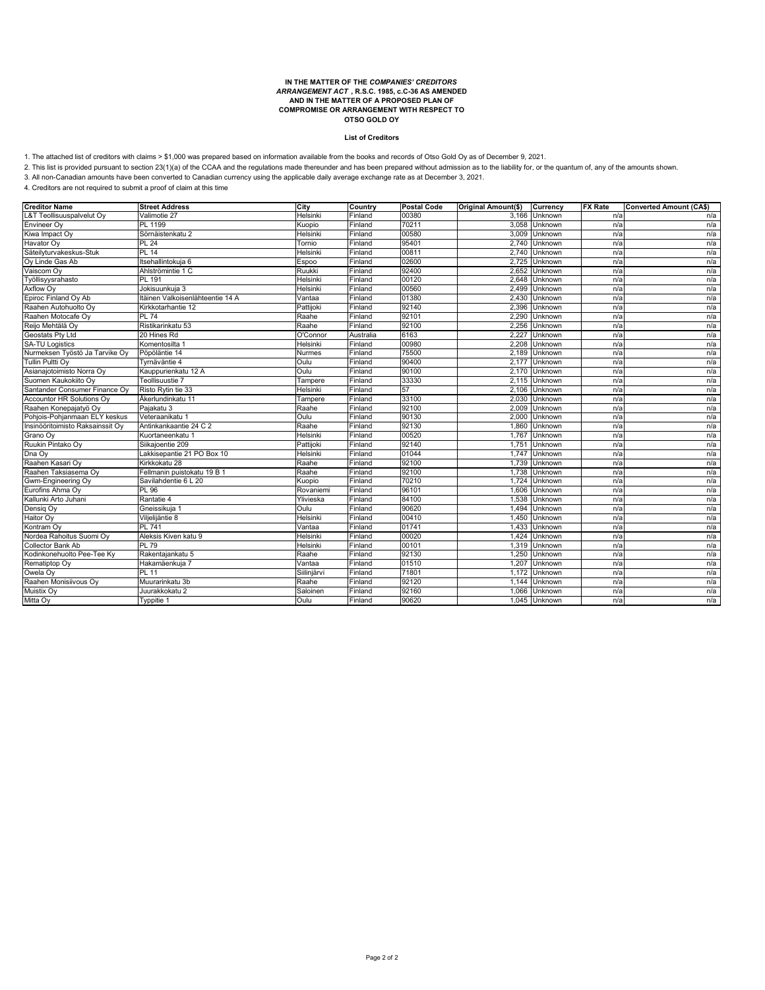# **IN THE MATTER OF THE** *COMPANIES' CREDITORS ARRANGEMENT ACT* **, R.S.C. 1985, c.C-36 AS AMENDED AND IN THE MATTER OF A PROPOSED PLAN OF COMPROMISE OR ARRANGEMENT WITH RESPECT TO OTSO GOLD OY**

#### **List of Creditors**

1. The attached list of creditors with claims > \$1,000 was prepared based on information available from the books and records of Otso Gold Oy as of December 9, 2021.

2. This list is provided pursuant to section 23(1)(a) of the CCAA and the regulations made thereunder and has been prepared without admission as to the liability for, or the quantum of, any of the amounts shown.

3. All non-Canadian amounts have been converted to Canadian currency using the applicable daily average exchange rate as at December 3, 2021.

| <b>Creditor Name</b>             | <b>Street Address</b>            | City        | Country   | <b>Postal Code</b> | Original Amount(\$) | Currency      | <b>FX Rate</b> | <b>Converted Amount (CA\$)</b> |
|----------------------------------|----------------------------------|-------------|-----------|--------------------|---------------------|---------------|----------------|--------------------------------|
| L&T Teollisuuspalvelut Oy        | Valimotie 27                     | Helsinki    | Finland   | 00380              |                     | 3,166 Unknown | n/a            | n/a                            |
| Envineer Ov                      | PL 1199                          | Kuopio      | Finland   | 70211              |                     | 3,058 Unknown | n/a            | n/a                            |
| Kiwa Impact Oy                   | Sörnäistenkatu 2                 | Helsinki    | Finland   | 00580              |                     | 3,009 Unknown | n/a            | n/a                            |
| Havator Oy                       | <b>PL 24</b>                     | Tornio      | Finland   | 95401              |                     | 2,740 Unknown | n/a            | n/a                            |
| Säteilyturvakeskus-Stuk          | <b>PL 14</b>                     | Helsinki    | Finland   | 00811              |                     | 2,740 Unknown | n/a            | n/a                            |
| Oy Linde Gas Ab                  | Itsehallintokuja 6               | Espoo       | Finland   | 02600              |                     | 2,725 Unknown | n/a            | n/a                            |
| Vaiscom Oy                       | Ahlströmintie 1 C                | Ruukki      | Finland   | 92400              | 2.652               | Unknown       | n/a            | n/a                            |
| Työllisyysrahasto                | PL 191                           | Helsinki    | Finland   | 00120              | 2.648               | Unknown       | n/a            | n/a                            |
| Axflow Oy                        | Jokisuunkuja 3                   | Helsinki    | Finland   | 00560              | 2,499               | Unknown       | n/a            | n/a                            |
| Epiroc Finland Oy Ab             | Itäinen Valkoisenlähteentie 14 A | Vantaa      | Finland   | 01380              | 2.430               | Unknown       | n/a            | n/a                            |
| Raahen Autohuolto Ov             | Kirkkotarhantie 12               | Pattijoki   | Finland   | 92140              | 2,396               | Unknown       | n/a            | n/a                            |
| Raahen Motocafe Ov               | <b>PL 74</b>                     | Raahe       | Finland   | 92101              |                     | 2,290 Unknown | n/a            | n/a                            |
| Reijo Mehtälä Oy                 | Ristikarinkatu 53                | Raahe       | Finland   | 92100              | 2.256               | Unknown       | n/a            | n/a                            |
| Geostats Pty Ltd                 | 20 Hines Rd                      | O'Connor    | Australia | 6163               | 2,227               | Unknown       | n/a            | n/a                            |
| <b>SA-TU Logistics</b>           | Komentosilta 1                   | Helsinki    | Finland   | 00980              |                     | 2.208 Unknown | n/a            | n/a                            |
| Nurmeksen Työstö Ja Tarvike Oy   | Pöpöläntie 14                    | Nurmes      | Finland   | 75500              | 2,189               | Unknown       | n/a            | n/a                            |
| <b>Tullin Pultti Oy</b>          | Tvrnäväntie 4                    | Oulu        | Finland   | 90400              | 2,177               | Unknown       | n/a            | n/a                            |
| Asianajotoimisto Norra Oy        | Kauppurienkatu 12 A              | Oulu        | Finland   | 90100              |                     | 2,170 Unknown | n/a            | n/a                            |
| Suomen Kaukokiito Ov             | Teollisuustie 7                  | Tampere     | Finland   | 33330              |                     | 2.115 Unknown | n/a            | n/a                            |
| Santander Consumer Finance Oy    | Risto Rytin tie 33               | Helsinki    | Finland   | 57                 |                     | 2,106 Unknown | n/a            | n/a                            |
| <b>Accountor HR Solutions Oy</b> | Åkerlundinkatu 11                | Tampere     | Finland   | 33100              | 2,030               | Unknown       | n/a            | n/a                            |
| Raahen Konepajatyö Oy            | Pajakatu 3                       | Raahe       | Finland   | 92100              | 2.009               | Unknown       | n/a            | n/a                            |
| Pohjois-Pohjanmaan ELY keskus    | Veteraanikatu 1                  | Oulu        | Finland   | 90130              |                     | 2,000 Unknown | n/a            | n/a                            |
| Insinööritoimisto Raksainssit Oy | Antinkankaantie 24 C 2           | Raahe       | Finland   | 92130              |                     | 1.860 Unknown | n/a            | n/a                            |
| Grano Oy                         | Kuortaneenkatu 1                 | Helsinki    | Finland   | 00520              | 1,767               | Unknown       | n/a            | n/a                            |
| Ruukin Pintako Oy                | Siikajoentie 209                 | Pattijoki   | Finland   | 92140              | 1,751               | Unknown       | n/a            | n/a                            |
| Dna Oy                           | Lakkisepantie 21 PO Box 10       | Helsinki    | Finland   | 01044              | 1,747               | Unknown       | n/a            | n/a                            |
| Raahen Kasari Oy                 | Kirkkokatu 28                    | Raahe       | Finland   | 92100              | 1.739               | Unknown       | n/a            | n/a                            |
| Raahen Taksiasema Oy             | Fellmanin puistokatu 19 B 1      | Raahe       | Finland   | 92100              | 1,738               | Unknown       | n/a            | n/a                            |
| Gwm-Engineering Oy               | Savilahdentie 6 L 20             | Kuopio      | Finland   | 70210              | 1.724               | Unknown       | n/a            | n/a                            |
| Eurofins Ahma Oy                 | PL 96                            | Rovaniemi   | Finland   | 96101              | 1,606               | Unknown       | n/a            | n/a                            |
| Kallunki Arto Juhani             | Rantatie 4                       | Ylivieska   | Finland   | 84100              | 1.538               | Unknown       | n/a            | n/a                            |
| Densig Oy                        | Gneissikuja 1                    | Oulu        | Finland   | 90620              | 1,494               | Unknown       | n/a            | n/a                            |
| Haitor Oy                        | Viljelijäntie 8                  | Helsinki    | Finland   | 00410              |                     | 1,450 Unknown | n/a            | n/a                            |
| Kontram Oy                       | <b>PL 741</b>                    | Vantaa      | Finland   | 01741              | 1,433               | Unknown       | n/a            | n/a                            |
| Nordea Rahoitus Suomi Oy         | Aleksis Kiven katu 9             | Helsinki    | Finland   | 00020              | 1.424               | Unknown       | n/a            | n/a                            |
| Collector Bank Ab                | $PL\overline{79}$                | Helsinki    | Finland   | 00101              | 1,319               | Unknown       | n/a            | n/a                            |
| Kodinkonehuolto Pee-Tee Ky       | Rakentajankatu 5                 | Raahe       | Finland   | 92130              | 1,250               | Unknown       | n/a            | n/a                            |
| Rematiptop Oy                    | Hakamäenkuja 7                   | Vantaa      | Finland   | 01510              | 1,207               | Unknown       | n/a            | n/a                            |
| Owela Oy                         | PL 11                            | Siilinjärvi | Finland   | 71801              | 1,172               | Unknown       | n/a            | n/a                            |
| Raahen Monisiivous Oy            | Muurarinkatu 3b                  | Raahe       | Finland   | 92120              | 1.144               | Unknown       | n/a            | n/a                            |
| Muistix Oy                       | Juurakkokatu 2                   | Saloinen    | Finland   | 92160              | 1,066               | Unknown       | n/a            | n/a                            |
| Mitta Oy                         | Typpitie 1                       | Oulu        | Finland   | 90620              |                     | 1,045 Unknown | n/a            | n/a                            |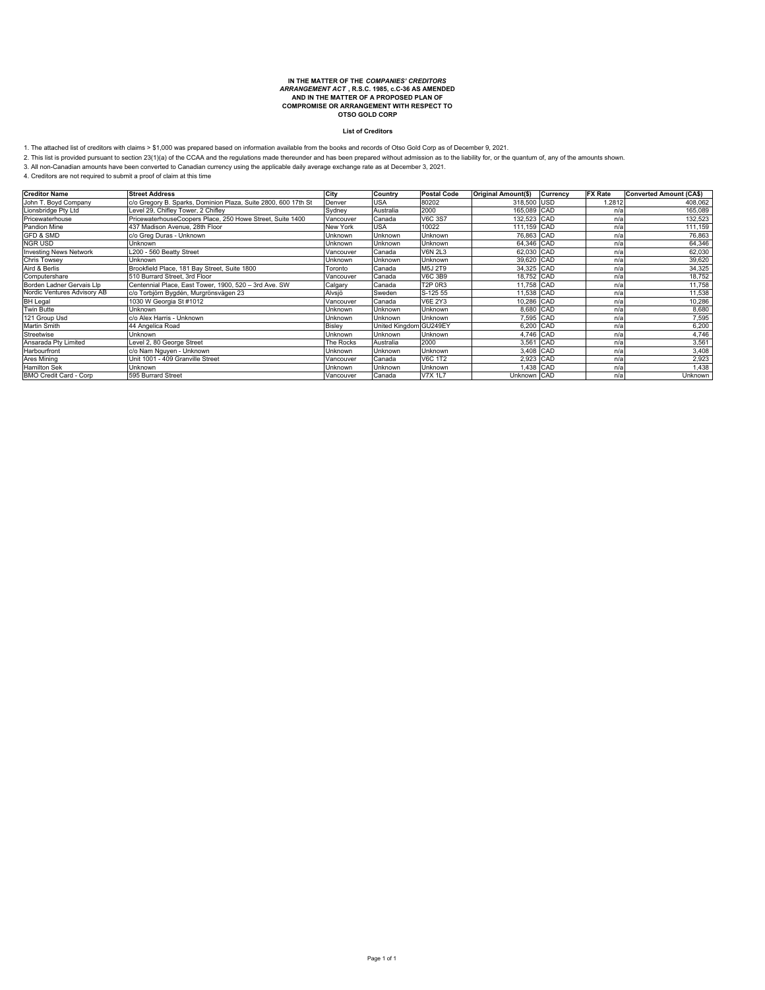# **IN THE MATTER OF THE** *COMPANIES' CREDITORS ARRANGEMENT ACT* **, R.S.C. 1985, c.C-36 AS AMENDED AND IN THE MATTER OF A PROPOSED PLAN OF COMPROMISE OR ARRANGEMENT WITH RESPECT TO OTSO GOLD CORP**

#### **List of Creditors**

1. The attached list of creditors with claims > \$1,000 was prepared based on information available from the books and records of Otso Gold Corp as of December 9, 2021.<br>2. This list is provided pursuant to section 23(1)(a)

| <b>Creditor Name</b>          | <b>Street Address</b>                                          | City            | Country                | <b>Postal Code</b> | Original Amount(\$) | Currency | <b>FX Rate</b> | <b>Converted Amount (CA\$)</b> |
|-------------------------------|----------------------------------------------------------------|-----------------|------------------------|--------------------|---------------------|----------|----------------|--------------------------------|
| John T. Boyd Company          | c/o Gregory B. Sparks, Dominion Plaza, Suite 2800, 600 17th St | Denver          | <b>USA</b>             | 80202              | 318,500 USD         |          | 1.2812         | 408,062                        |
| Lionsbridge Pty Ltd           | Level 29, Chifley Tower, 2 Chifley                             | Sydney          | Australia              | 2000               | 165,089 CAD         |          | n/a            | 165,089                        |
| Pricewaterhouse               | PricewaterhouseCoopers Place, 250 Howe Street, Suite 1400      | Vancouver       | Canada                 | <b>V6C 3S7</b>     | 132,523 CAD         |          | n/a            | 132,523                        |
| Pandion Mine                  | 437 Madison Avenue, 28th Floor                                 | <b>New York</b> | <b>USA</b>             | 10022              | 111,159 CAD         |          | n/a            | 111,159                        |
| <b>GFD &amp; SMD</b>          | c/o Grea Duras - Unknown                                       | <b>Unknown</b>  | Unknown                | Unknown            | 76.863 CAD          |          | n/a            | 76,863                         |
| <b>NGR USD</b>                | Unknown                                                        | Unknown         | Unknown                | Unknown            | 64,346 CAD          |          | n/a            | 64,346                         |
| <b>Investing News Network</b> | L200 - 560 Beatty Street                                       | Vancouver       | Canada                 | <b>V6N 2L3</b>     | 62,030 CAD          |          | n/a            | 62,030                         |
| <b>Chris Towsey</b>           | <b>Unknown</b>                                                 | <b>Unknown</b>  | Unknown                | <b>Unknown</b>     | 39.620 CAD          |          | n/a            | 39,620                         |
| Aird & Berlis                 | Brookfield Place, 181 Bay Street, Suite 1800                   | Toronto         | Canada                 | M5J 2T9            | 34,325 CAD          |          | n/a            | 34,325                         |
| Computershare                 | 510 Burrard Street, 3rd Floor                                  | Vancouver       | Canada                 | <b>V6C 3B9</b>     | 18,752 CAD          |          | n/a            | 18,752                         |
| Borden Ladner Gervais Llp     | Centennial Place, East Tower, 1900, 520 - 3rd Ave. SW          | Calgary         | Canada                 | <b>T2P 0R3</b>     | 11,758 CAD          |          | n/a            | 11,758                         |
| Nordic Ventures Advisory AB   | c/o Torbjörn Bygdén, Murgrönsvägen 23                          | Älvsjö          | Sweden                 | S-125 55           | 11,538 CAD          |          | n/a            | 11,538                         |
| <b>BH</b> Legal               | 1030 W Georgia St #1012                                        | Vancouver       | Canada                 | <b>V6E 2Y3</b>     | 10,286 CAD          |          | n/a            | 10,286                         |
| <b>Twin Butte</b>             | Unknown                                                        | Unknown         | Unknown                | Unknown            | 8,680 CAD           |          | n/a            | 8,680                          |
| 121 Group Usd                 | c/o Alex Harris - Unknown                                      | <b>Unknown</b>  | <b>Unknown</b>         | <b>Unknown</b>     | 7,595 CAD           |          | n/a            | 7,595                          |
| <b>Martin Smith</b>           | 44 Angelica Road                                               | Bisley          | United Kingdom GU249EY |                    | 6,200 CAD           |          | n/a            | 6,200                          |
| Streetwise                    | <b>Unknown</b>                                                 | <b>Unknown</b>  | <b>Unknown</b>         | Unknown            | 4,746 CAD           |          | n/a            | 4,746                          |
| Ansarada Pty Limited          | Level 2, 80 George Street                                      | The Rocks       | Australia              | 2000               | 3,561 CAD           |          | n/a            | 3,561                          |
| Harbourfront                  | c/o Nam Nguyen - Unknown                                       | <b>Unknown</b>  | Unknown                | <b>Unknown</b>     | 3,408 CAD           |          | n/a            | 3,408                          |
| Ares Mining                   | Unit 1001 - 409 Granville Street                               | Vancouver       | Canada                 | <b>V6C 1T2</b>     | 2,923 CAD           |          | n/a            | 2,923                          |
| <b>Hamilton Sek</b>           | <b>Unknown</b>                                                 | Unknown         | Unknown                | Unknown            | 1,438 CAD           |          | n/a            | 1,438                          |
| <b>BMO Credit Card - Corp</b> | 595 Burrard Street                                             | Vancouver       | Canada                 | <b>V7X 1L7</b>     | Unknown CAD         |          | n/a            | Unknown                        |